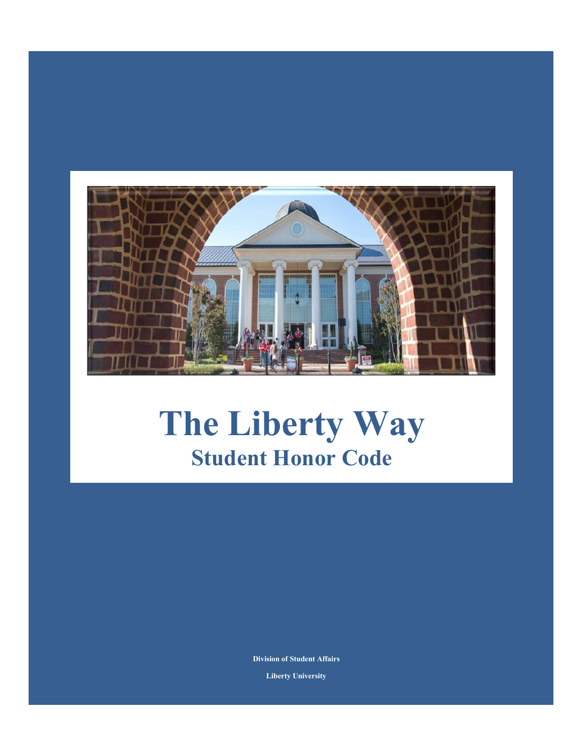

# **The Liberty Way Student Honor Code**

**Division of Student Affairs Liberty University**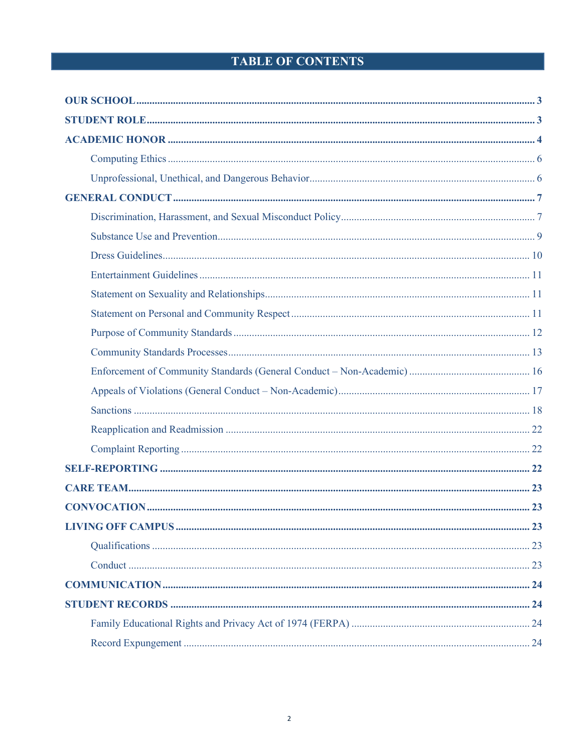# **TABLE OF CONTENTS**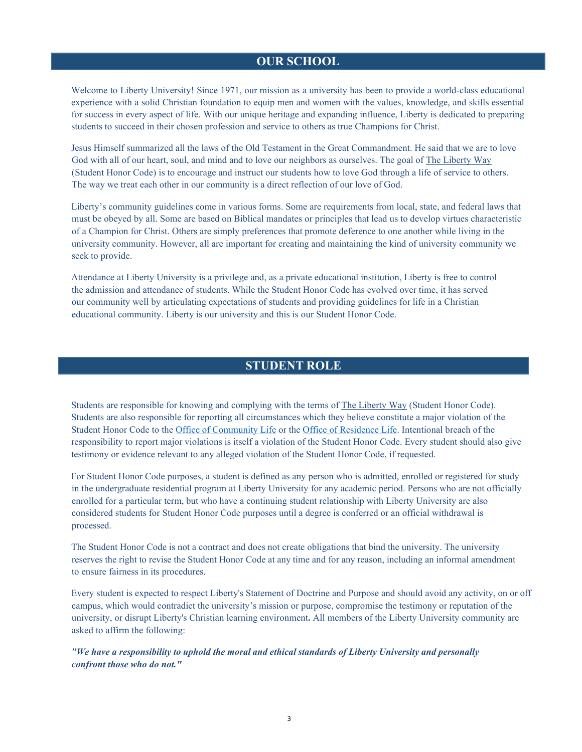# **OUR SCHOOL**

<span id="page-2-0"></span>Welcome to Liberty University! Since 1971, our mission as a university has been to provide a world-class educational experience with a solid Christian foundation to equip men and women with the values, knowledge, and skills essential for success in every aspect of life. With our unique heritage and expanding influence, Liberty is dedicated to preparing students to succeed in their chosen profession and service to others as true Champions for Christ.

Jesus Himself summarized all the laws of the Old Testament in the Great Commandment. He said that we are to love God with all of our heart, soul, and mind and to love our neighbors as ourselves. The goal of The Liberty Way (Student Honor Code) is to encourage and instruct our students how to love God through a life of service to others. The way we treat each other in our community is a direct reflection of our love of God.

Liberty's community guidelines come in various forms. Some are requirements from local, state, and federal laws that must be obeyed by all. Some are based on Biblical mandates or principles that lead us to develop virtues characteristic of a Champion for Christ. Others are simply preferences that promote deference to one another while living in the university community. However, all are important for creating and maintaining the kind of university community we seek to provide.

Attendance at Liberty University is a privilege and, as a private educational institution, Liberty is free to control the admission and attendance of students. While the Student Honor Code has evolved over time, it has served our community well by articulating expectations of students and providing guidelines for life in a Christian educational community. Liberty is our university and this is our Student Honor Code.

# **STUDENT ROLE**

<span id="page-2-1"></span>Students are responsible for knowing and complying with the terms of The Liberty Way (Student Honor Code). Students are also responsible for reporting all circumstances which they believe constitute a major violation of the Student Honor Code to th[e Office of Community Life](https://www.liberty.edu/students/community-life/) or th[e Office of Residence Life. I](https://www.liberty.edu/residence-life)ntentional breach of the responsibility to report major violations is itself a violation of the Student Honor Code. Every student should also give testimony or evidence relevant to any alleged violation of the Student Honor Code, if requested.

For Student Honor Code purposes, a student is defined as any person who is admitted, enrolled or registered for study in the undergraduate residential program at Liberty University for any academic period. Persons who are not officially enrolled for a particular term, but who have a continuing student relationship with Liberty University are also considered students for Student Honor Code purposes until a degree is conferred or an official withdrawal is processed.

The Student Honor Code is not a contract and does not create obligations that bind the university. The university reserves the right to revise the Student Honor Code at any time and for any reason, including an informal amendment to ensure fairness in its procedures.

Every student is expected to respect Liberty's Statement of Doctrine and Purpose and should avoid any activity, on or off campus, which would contradict the university's mission or purpose, compromise the testimony or reputation of the university, or disrupt Liberty's Christian learning environment**.** All members of the Liberty University community are asked to affirm the following:

*"We have a responsibility to uphold the moral and ethical standards of Liberty University and personally confront those who do not."*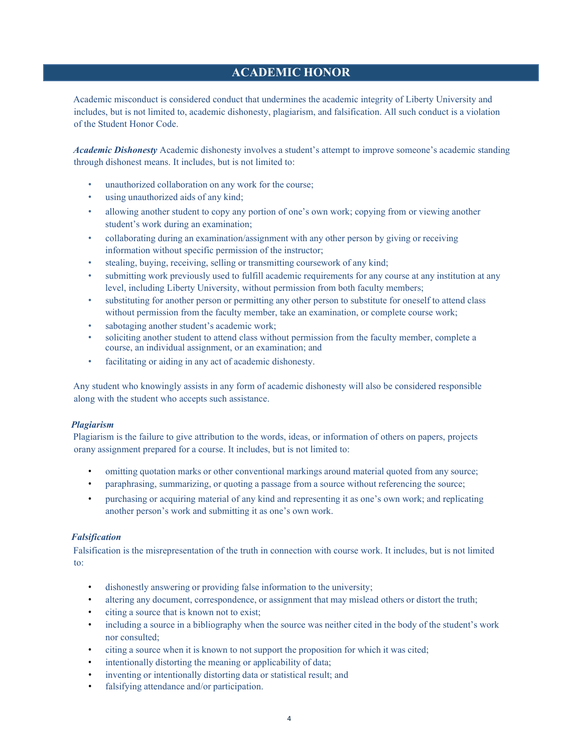# **ACADEMIC HONOR**

<span id="page-3-0"></span>Academic misconduct is considered conduct that undermines the academic integrity of Liberty University and includes, but is not limited to, academic dishonesty, plagiarism, and falsification. All such conduct is a violation of the Student Honor Code.

*Academic Dishonesty* Academic dishonesty involves a student's attempt to improve someone's academic standing through dishonest means. It includes, but is not limited to:

- unauthorized collaboration on any work for the course;
- using unauthorized aids of any kind;
- allowing another student to copy any portion of one's own work; copying from or viewing another student's work during an examination;
- collaborating during an examination/assignment with any other person by giving or receiving information without specific permission of the instructor;
- stealing, buying, receiving, selling or transmitting coursework of any kind;
- submitting work previously used to fulfill academic requirements for any course at any institution at any level, including Liberty University, without permission from both faculty members;
- substituting for another person or permitting any other person to substitute for oneself to attend class without permission from the faculty member, take an examination, or complete course work;
- sabotaging another student's academic work;
- soliciting another student to attend class without permission from the faculty member, complete a course, an individual assignment, or an examination; and
- facilitating or aiding in any act of academic dishonesty.

Any student who knowingly assists in any form of academic dishonesty will also be considered responsible along with the student who accepts such assistance.

#### *Plagiarism*

Plagiarism is the failure to give attribution to the words, ideas, or information of others on papers, projects orany assignment prepared for a course. It includes, but is not limited to:

- omitting quotation marks or other conventional markings around material quoted from any source;
- paraphrasing, summarizing, or quoting a passage from a source without referencing the source;
- purchasing or acquiring material of any kind and representing it as one's own work; and replicating another person's work and submitting it as one's own work.

#### *Falsification*

Falsification is the misrepresentation of the truth in connection with course work. It includes, but is not limited to:

- dishonestly answering or providing false information to the university;
- altering any document, correspondence, or assignment that may mislead others or distort the truth;
- citing a source that is known not to exist;
- including a source in a bibliography when the source was neither cited in the body of the student's work nor consulted;
- citing a source when it is known to not support the proposition for which it was cited;
- intentionally distorting the meaning or applicability of data;
- inventing or intentionally distorting data or statistical result; and
- falsifying attendance and/or participation.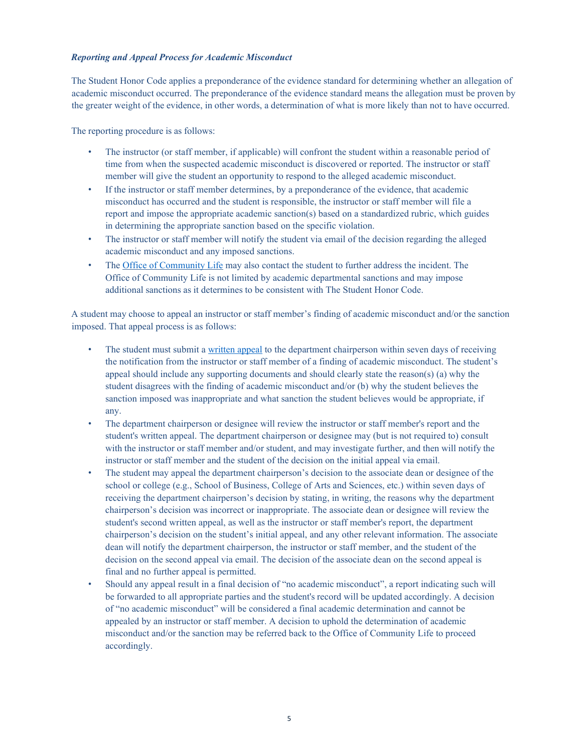#### *Reporting and Appeal Process for Academic Misconduct*

The Student Honor Code applies a preponderance of the evidence standard for determining whether an allegation of academic misconduct occurred. The preponderance of the evidence standard means the allegation must be proven by the greater weight of the evidence, in other words, a determination of what is more likely than not to have occurred.

The reporting procedure is as follows:

- The instructor (or staff member, if applicable) will confront the student within a reasonable period of time from when the suspected academic misconduct is discovered or reported. The instructor or staff member will give the student an opportunity to respond to the alleged academic misconduct.
- If the instructor or staff member determines, by a preponderance of the evidence, that academic misconduct has occurred and the student is responsible, the instructor or staff member will file a report and impose the appropriate academic sanction(s) based on a standardized rubric, which guides in determining the appropriate sanction based on the specific violation.
- The instructor or staff member will notify the student via email of the decision regarding the alleged academic misconduct and any imposed sanctions.
- The [Office of Community Life](https://www.liberty.edu/students/community-life/) may also contact the student to further address the incident. The Office of Community Life is not limited by academic departmental sanctions and may impose additional sanctions as it determines to be consistent with The Student Honor Code.

A student may choose to appeal an instructor or staff member's finding of academic misconduct and/or the sanction imposed. That appeal process is as follows:

- The student must submit a [written appeal](https://www.liberty.edu/beacon/) to the department chairperson within seven days of receiving the notification from the instructor or staff member of a finding of academic misconduct. The student's appeal should include any supporting documents and should clearly state the reason(s) (a) why the student disagrees with the finding of academic misconduct and/or (b) why the student believes the sanction imposed was inappropriate and what sanction the student believes would be appropriate, if any.
- The department chairperson or designee will review the instructor or staff member's report and the student's written appeal. The department chairperson or designee may (but is not required to) consult with the instructor or staff member and/or student, and may investigate further, and then will notify the instructor or staff member and the student of the decision on the initial appeal via email.
- The student may appeal the department chairperson's decision to the associate dean or designee of the school or college (e.g., School of Business, College of Arts and Sciences, etc.) within seven days of receiving the department chairperson's decision by stating, in writing, the reasons why the department chairperson's decision was incorrect or inappropriate. The associate dean or designee will review the student's second written appeal, as well as the instructor or staff member's report, the department chairperson's decision on the student's initial appeal, and any other relevant information. The associate dean will notify the department chairperson, the instructor or staff member, and the student of the decision on the second appeal via email. The decision of the associate dean on the second appeal is final and no further appeal is permitted.
- Should any appeal result in a final decision of "no academic misconduct", a report indicating such will be forwarded to all appropriate parties and the student's record will be updated accordingly. A decision of "no academic misconduct" will be considered a final academic determination and cannot be appealed by an instructor or staff member. A decision to uphold the determination of academic misconduct and/or the sanction may be referred back to the Office of Community Life to proceed accordingly.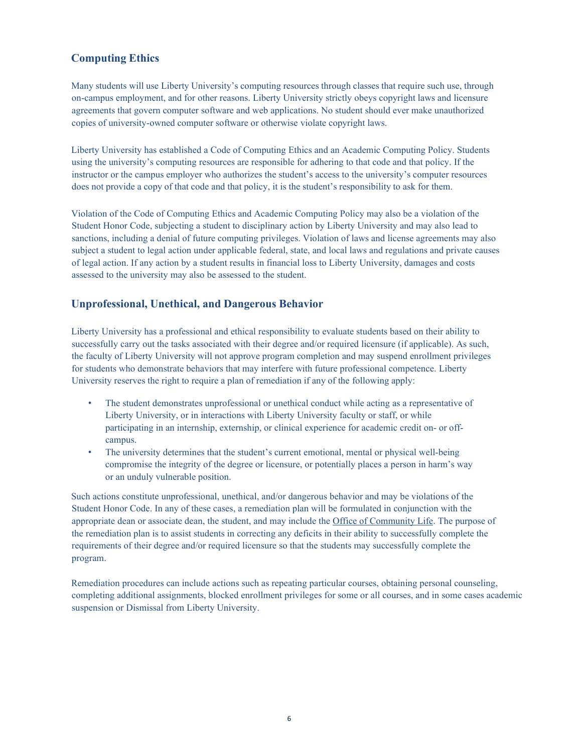# <span id="page-5-0"></span>**Computing Ethics**

Many students will use Liberty University's computing resources through classes that require such use, through on-campus employment, and for other reasons. Liberty University strictly obeys copyright laws and licensure agreements that govern computer software and web applications. No student should ever make unauthorized copies of university-owned computer software or otherwise violate copyright laws.

Liberty University has established a Code of Computing Ethics and an Academic Computing Policy. Students using the university's computing resources are responsible for adhering to that code and that policy. If the instructor or the campus employer who authorizes the student's access to the university's computer resources does not provide a copy of that code and that policy, it is the student's responsibility to ask for them.

Violation of the Code of Computing Ethics and Academic Computing Policy may also be a violation of the Student Honor Code, subjecting a student to disciplinary action by Liberty University and may also lead to sanctions, including a denial of future computing privileges. Violation of laws and license agreements may also subject a student to legal action under applicable federal, state, and local laws and regulations and private causes of legal action. If any action by a student results in financial loss to Liberty University, damages and costs assessed to the university may also be assessed to the student.

# <span id="page-5-1"></span>**Unprofessional, Unethical, and Dangerous Behavior**

Liberty University has a professional and ethical responsibility to evaluate students based on their ability to successfully carry out the tasks associated with their degree and/or required licensure (if applicable). As such, the faculty of Liberty University will not approve program completion and may suspend enrollment privileges for students who demonstrate behaviors that may interfere with future professional competence. Liberty University reserves the right to require a plan of remediation if any of the following apply:

- The student demonstrates unprofessional or unethical conduct while acting as a representative of Liberty University, or in interactions with Liberty University faculty or staff, or while participating in an internship, externship, or clinical experience for academic credit on- or offcampus.
- The university determines that the student's current emotional, mental or physical well-being compromise the integrity of the degree or licensure, or potentially places a person in harm's way or an unduly vulnerable position.

Such actions constitute unprofessional, unethical, and/or dangerous behavior and may be violations of the Student Honor Code. In any of these cases, a remediation plan will be formulated in conjunction with the appropriate dean or associate dean, the student, and may include the Office of Community Life. The purpose of the remediation plan is to assist students in correcting any deficits in their ability to successfully complete the requirements of their degree and/or required licensure so that the students may successfully complete the program.

Remediation procedures can include actions such as repeating particular courses, obtaining personal counseling, completing additional assignments, blocked enrollment privileges for some or all courses, and in some cases academic suspension or Dismissal from Liberty University.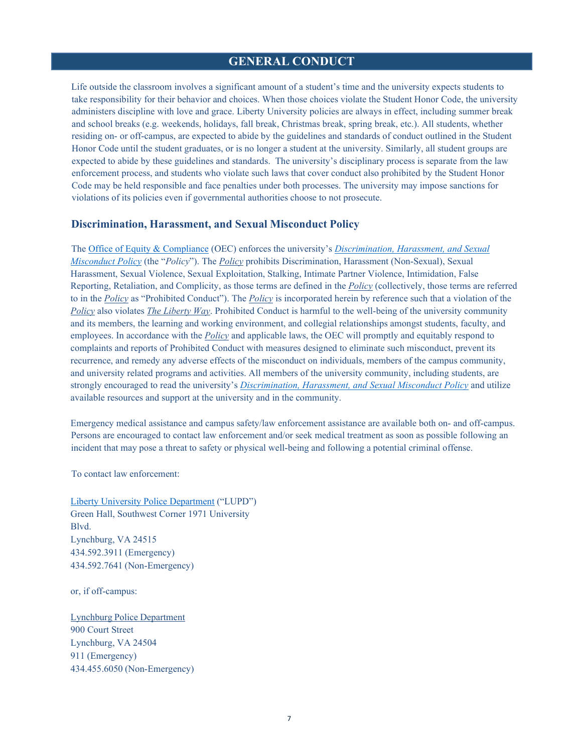## **GENERAL CONDUCT**

<span id="page-6-0"></span>Life outside the classroom involves a significant amount of a student's time and the university expects students to take responsibility for their behavior and choices. When those choices violate the Student Honor Code, the university administers discipline with love and grace. Liberty University policies are always in effect, including summer break and school breaks (e.g. weekends, holidays, fall break, Christmas break, spring break, etc.). All students, whether residing on- or off-campus, are expected to abide by the guidelines and standards of conduct outlined in the Student Honor Code until the student graduates, or is no longer a student at the university. Similarly, all student groups are expected to abide by these guidelines and standards. The university's disciplinary process is separate from the law enforcement process, and students who violate such laws that cover conduct also prohibited by the Student Honor Code may be held responsible and face penalties under both processes. The university may impose sanctions for violations of its policies even if governmental authorities choose to not prosecute.

#### <span id="page-6-1"></span>**Discrimination, Harassment, and Sexual Misconduct Policy**

The [Office of Equity & Compliance](https://www.liberty.edu/title-ix/) (OEC) enforces the university's *[Discrimination, Harassment, and Sexual](https://www.liberty.edu/title-ix/wp-content/uploads/sites/126/2019/12/Liberty_University_Discrimination_Harassment_and_Sexual_Misconduct_Policy.pdf) [Misconduct Policy](https://www.liberty.edu/title-ix/wp-content/uploads/sites/126/2019/12/Liberty_University_Discrimination_Harassment_and_Sexual_Misconduct_Policy.pdf)* (the "*Policy*"). The *Policy* prohibits Discrimination, Harassment (Non-Sexual), Sexual Harassment, Sexual Violence, Sexual Exploitation, Stalking, Intimate Partner Violence, Intimidation, False Reporting, Retaliation, and Complicity, as those terms are defined in the *Policy* (collectively, those terms are referred to in the *Policy* as "Prohibited Conduct"). The *Policy* is incorporated herein by reference such that a violation of the *Policy* also violates *The Liberty Way*. Prohibited Conduct is harmful to the well-being of the university community and its members, the learning and working environment, and collegial relationships amongst students, faculty, and employees. In accordance with the *Policy* and applicable laws, the OEC will promptly and equitably respond to complaints and reports of Prohibited Conduct with measures designed to eliminate such misconduct, prevent its recurrence, and remedy any adverse effects of the misconduct on individuals, members of the campus community, and university related programs and activities. All members of the university community, including students, are strongly encouraged to read the university's *[Discrimination, Harassment, and Sexual Misconduct Policy](https://www.liberty.edu/title-ix/wp-content/uploads/sites/126/2019/12/Liberty_University_Discrimination_Harassment_and_Sexual_Misconduct_Policy.pdf)* and utilize available resources and support at the university and in the community.

Emergency medical assistance and campus safety/law enforcement assistance are available both on- and off-campus. Persons are encouraged to contact law enforcement and/or seek medical treatment as soon as possible following an incident that may pose a threat to safety or physical well-being and following a potential criminal offense.

To contact law enforcement:

[Liberty University Police Department](https://www.liberty.edu/police/) ("LUPD") Green Hall, Southwest Corner 1971 University Blvd. Lynchburg, VA 24515 434.592.3911 (Emergency) 434.592.7641 (Non-Emergency)

or, if off-campus:

Lynchburg Police Department 900 Court Street Lynchburg, VA 24504 911 (Emergency) 434.455.6050 (Non-Emergency)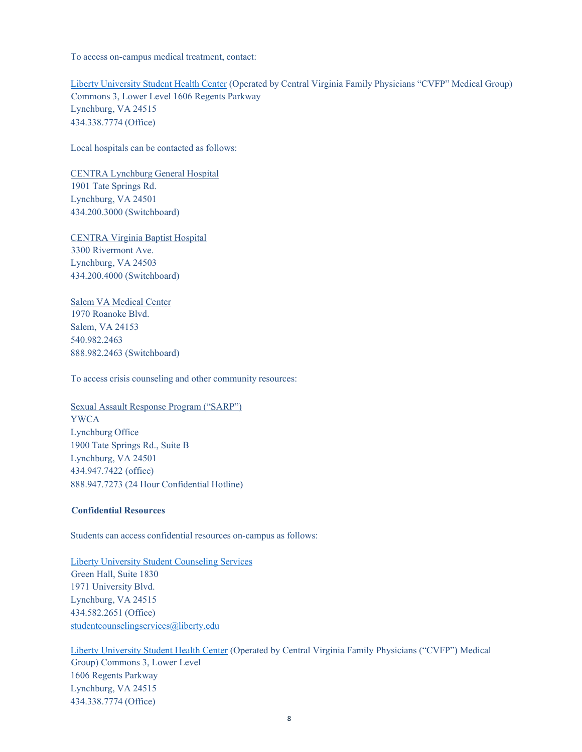To access on-campus medical treatment, contact:

Liberty [University](https://www.lustudenthealth.com/) Student Health Center (Operated by Central Virginia Family Physicians "CVFP" Medical Group) Commons 3, Lower Level 1606 Regents Parkway Lynchburg, VA 24515 434.338.7774 (Office)

Local hospitals can be contacted as follows:

CENTRA Lynchburg General Hospital 1901 Tate Springs Rd. Lynchburg, VA 24501 434.200.3000 (Switchboard)

CENTRA Virginia Baptist Hospital 3300 Rivermont Ave. Lynchburg, VA 24503 434.200.4000 (Switchboard)

Salem VA Medical Center 1970 Roanoke Blvd. Salem, VA 24153 540.982.2463 888.982.2463 (Switchboard)

To access crisis counseling and other community resources:

Sexual Assault Response Program ("SARP") YWCA Lynchburg Office 1900 Tate Springs Rd., Suite B Lynchburg, VA 24501 434.947.7422 (office) 888.947.7273 (24 Hour Confidential Hotline)

#### **Confidential Resources**

Students can access confidential resources on-campus as follows:

Liberty University Student [Counseling Services](https://www.liberty.edu/studentaffairs/studentcouseling/) Green Hall, Suite 1830 1971 University Blvd. Lynchburg, VA 24515 434.582.2651 (Office) [studentcounselingservices@liberty.edu](mailto:studentcounselingservices@liberty.edu)

[Liberty University Student Health Center](https://www.lustudenthealth.com/) (Operated by Central Virginia Family Physicians ("CVFP") Medical Group) Commons 3, Lower Level 1606 Regents Parkway Lynchburg, VA 24515 434.338.7774 (Office)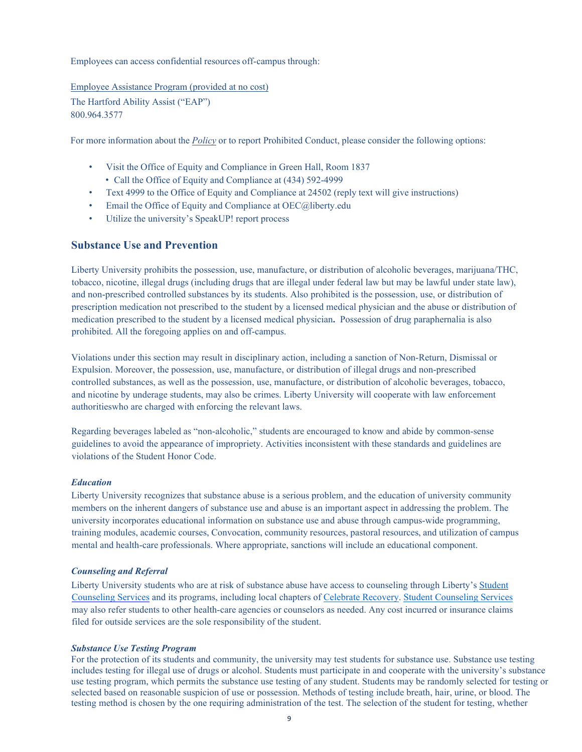Employees can access confidential resources off-campus through:

Employee Assistance Program (provided at no cost)

The Hartford Ability Assist ("EAP") 800.964.3577

For more information about the *Policy* or to report Prohibited Conduct, please consider the following options:

- Visit the Office of Equity and Compliance in Green Hall, Room 1837
	- Call the Office of Equity and Compliance at (434) 592-4999
- Text 4999 to the Office of Equity and Compliance at 24502 (reply text will give instructions)
- Email the Office of Equity and Compliance at [OEC@liberty.edu](mailto:OEC@liberty.edu)
- Utilize the university's SpeakUP! report process

#### <span id="page-8-0"></span>**Substance Use and Prevention**

Liberty University prohibits the possession, use, manufacture, or distribution of alcoholic beverages, marijuana/THC, tobacco, nicotine, illegal drugs (including drugs that are illegal under federal law but may be lawful under state law), and non-prescribed controlled substances by its students. Also prohibited is the possession, use, or distribution of prescription medication not prescribed to the student by a licensed medical physician and the abuse or distribution of medication prescribed to the student by a licensed medical physician**.** Possession of drug paraphernalia is also prohibited. All the foregoing applies on and off-campus.

Violations under this section may result in disciplinary action, including a sanction of Non-Return, Dismissal or Expulsion. Moreover, the possession, use, manufacture, or distribution of illegal drugs and non-prescribed controlled substances, as well as the possession, use, manufacture, or distribution of alcoholic beverages, tobacco, and nicotine by underage students, may also be crimes. Liberty University will cooperate with law enforcement authoritieswho are charged with enforcing the relevant laws.

Regarding beverages labeled as "non-alcoholic," students are encouraged to know and abide by common-sense guidelines to avoid the appearance of impropriety. Activities inconsistent with these standards and guidelines are violations of the Student Honor Code.

#### *Education*

Liberty University recognizes that substance abuse is a serious problem, and the education of university community members on the inherent dangers of substance use and abuse is an important aspect in addressing the problem. The university incorporates educational information on substance use and abuse through campus-wide programming, training modules, academic courses, Convocation, community resources, pastoral resources, and utilization of campus mental and health-care professionals. Where appropriate, sanctions will include an educational component.

#### *Counseling and Referral*

Liberty University students who are at risk of substance abuse have access to counseling through Liberty's [Student](https://www.liberty.edu/studentaffairs/studentcouseling/) [Counseling Services](https://www.liberty.edu/studentaffairs/studentcouseling/) and its programs, including local chapters of [Celebrate Recovery.](http://www.celebraterecovery.com/) [Student Counseling Services](https://www.liberty.edu/studentaffairs/studentcouseling/) may also refer students to other health-care agencies or counselors as needed. Any cost incurred or insurance claims filed for outside services are the sole responsibility of the student.

#### *Substance Use Testing Program*

For the protection of its students and community, the university may test students for substance use. Substance use testing includes testing for illegal use of drugs or alcohol. Students must participate in and cooperate with the university's substance use testing program, which permits the substance use testing of any student. Students may be randomly selected for testing or selected based on reasonable suspicion of use or possession. Methods of testing include breath, hair, urine, or blood. The testing method is chosen by the one requiring administration of the test. The selection of the student for testing, whether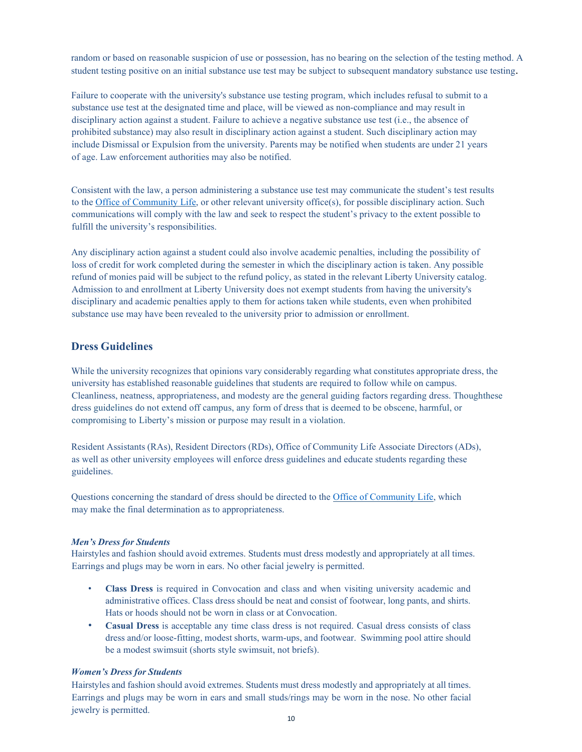random or based on reasonable suspicion of use or possession, has no bearing on the selection of the testing method. A student testing positive on an initial substance use test may be subject to subsequent mandatory substance use testing.

Failure to cooperate with the university's substance use testing program, which includes refusal to submit to a substance use test at the designated time and place, will be viewed as non-compliance and may result in disciplinary action against a student. Failure to achieve a negative substance use test (i.e., the absence of prohibited substance) may also result in disciplinary action against a student. Such disciplinary action may include Dismissal or Expulsion from the university. Parents may be notified when students are under 21 years of age. Law enforcement authorities may also be notified.

Consistent with the law, a person administering a substance use test may communicate the student's test results to th[e Office of Community Life, o](https://www.liberty.edu/students/community-life/)r other relevant university office(s), for possible disciplinary action. Such communications will comply with the law and seek to respect the student's privacy to the extent possible to fulfill the university's responsibilities.

Any disciplinary action against a student could also involve academic penalties, including the possibility of loss of credit for work completed during the semester in which the disciplinary action is taken. Any possible refund of monies paid will be subject to the refund policy, as stated in the relevant Liberty University catalog. Admission to and enrollment at Liberty University does not exempt students from having the university's disciplinary and academic penalties apply to them for actions taken while students, even when prohibited substance use may have been revealed to the university prior to admission or enrollment.

## <span id="page-9-0"></span>**Dress Guidelines**

While the university recognizes that opinions vary considerably regarding what constitutes appropriate dress, the university has established reasonable guidelines that students are required to follow while on campus. Cleanliness, neatness, appropriateness, and modesty are the general guiding factors regarding dress. Thoughthese dress guidelines do not extend off campus, any form of dress that is deemed to be obscene, harmful, or compromising to Liberty's mission or purpose may result in a violation.

Resident Assistants (RAs), Resident Directors (RDs), Office of Community Life Associate Directors (ADs), as well as other university employees will enforce dress guidelines and educate students regarding these guidelines.

Questions concerning the standard of dress should be directed to the [Office of Community Life, w](https://www.liberty.edu/students/community-life/)hich may make the final determination as to appropriateness.

#### *Men's Dress for Students*

Hairstyles and fashion should avoid extremes. Students must dress modestly and appropriately at all times. Earrings and plugs may be worn in ears. No other facial jewelry is permitted.

- **Class Dress** is required in Convocation and class and when visiting university academic and administrative offices. Class dress should be neat and consist of footwear, long pants, and shirts. Hats or hoods should not be worn in class or at Convocation.
- **Casual Dress** is acceptable any time class dress is not required. Casual dress consists of class dress and/or loose-fitting, modest shorts, warm-ups, and footwear. Swimming pool attire should be a modest swimsuit (shorts style swimsuit, not briefs).

#### *Women's Dress for Students*

Hairstyles and fashion should avoid extremes. Students must dress modestly and appropriately at all times. Earrings and plugs may be worn in ears and small studs/rings may be worn in the nose. No other facial jewelry is permitted.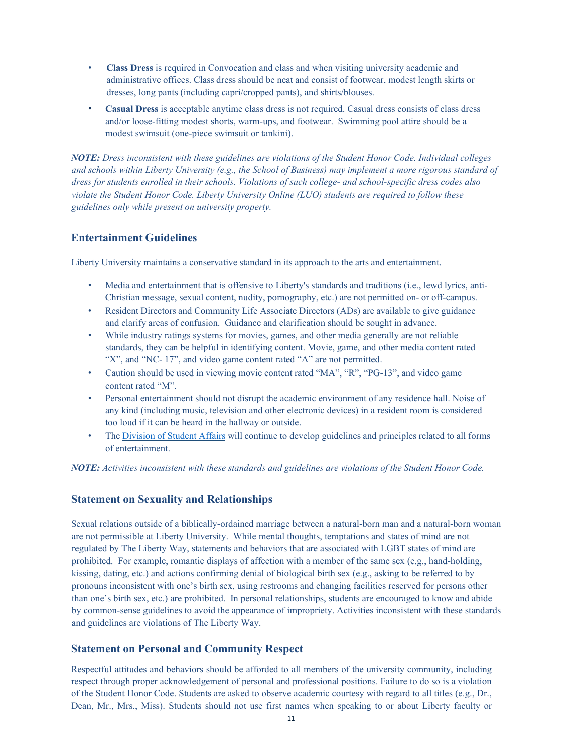- **Class Dress** is required in Convocation and class and when visiting university academic and administrative offices. Class dress should be neat and consist of footwear, modest length skirts or dresses, long pants (including capri/cropped pants), and shirts/blouses.
- **Casual Dress** is acceptable anytime class dress is not required. Casual dress consists of class dress and/or loose-fitting modest shorts, warm-ups, and footwear. Swimming pool attire should be a modest swimsuit (one-piece swimsuit or tankini).

*NOTE: Dress inconsistent with these guidelines are violations of the Student Honor Code. Individual colleges and schools within Liberty University (e.g., the School of Business) may implement a more rigorous standard of dress for students enrolled in their schools. Violations of such college- and school-specific dress codes also violate the Student Honor Code. Liberty University Online (LUO) students are required to follow these guidelines only while present on university property.*

# <span id="page-10-0"></span>**Entertainment Guidelines**

Liberty University maintains a conservative standard in its approach to the arts and entertainment.

- Media and entertainment that is offensive to Liberty's standards and traditions (i.e., lewd lyrics, anti-Christian message, sexual content, nudity, pornography, etc.) are not permitted on- or off-campus.
- Resident Directors and Community Life Associate Directors (ADs) are available to give guidance and clarify areas of confusion. Guidance and clarification should be sought in advance.
- While industry ratings systems for movies, games, and other media generally are not reliable standards, they can be helpful in identifying content. Movie, game, and other media content rated "X", and "NC- 17", and video game content rated "A" are not permitted.
- Caution should be used in viewing movie content rated "MA", "R", "PG-13", and video game content rated "M".
- Personal entertainment should not disrupt the academic environment of any residence hall. Noise of any kind (including music, television and other electronic devices) in a resident room is considered too loud if it can be heard in the hallway or outside.
- The [Division](https://www.liberty.edu/studentaffairs/) of Student Affairs will continue to develop guidelines and principles related to all forms of entertainment.

*NOTE: Activities inconsistent with these standards and guidelines are violations of the Student Honor Code.*

#### <span id="page-10-1"></span>**Statement on Sexuality and Relationships**

Sexual relations outside of a biblically-ordained marriage between a natural-born man and a natural-born woman are not permissible at Liberty University. While mental thoughts, temptations and states of mind are not regulated by The Liberty Way, statements and behaviors that are associated with LGBT states of mind are prohibited. For example, romantic displays of affection with a member of the same sex (e.g., hand-holding, kissing, dating, etc.) and actions confirming denial of biological birth sex (e.g., asking to be referred to by pronouns inconsistent with one's birth sex, using restrooms and changing facilities reserved for persons other than one's birth sex, etc.) are prohibited. In personal relationships, students are encouraged to know and abide by common-sense guidelines to avoid the appearance of impropriety. Activities inconsistent with these standards and guidelines are violations of The Liberty Way.

#### <span id="page-10-2"></span>**Statement on Personal and Community Respect**

Respectful attitudes and behaviors should be afforded to all members of the university community, including respect through proper acknowledgement of personal and professional positions. Failure to do so is a violation of the Student Honor Code. Students are asked to observe academic courtesy with regard to all titles (e.g., Dr., Dean, Mr., Mrs., Miss). Students should not use first names when speaking to or about Liberty faculty or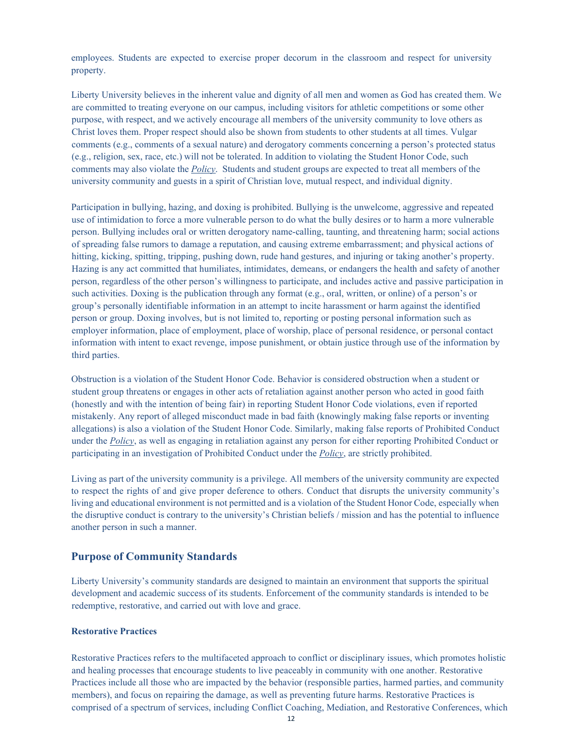employees. Students are expected to exercise proper decorum in the classroom and respect for university property.

Liberty University believes in the inherent value and dignity of all men and women as God has created them. We are committed to treating everyone on our campus, including visitors for athletic competitions or some other purpose, with respect, and we actively encourage all members of the university community to love others as Christ loves them. Proper respect should also be shown from students to other students at all times. Vulgar comments (e.g., comments of a sexual nature) and derogatory comments concerning a person's protected status (e.g., religion, sex, race, etc.) will not be tolerated. In addition to violating the Student Honor Code, such comments may also violate the *Policy*. Students and student groups are expected to treat all members of the university community and guests in a spirit of Christian love, mutual respect, and individual dignity.

Participation in bullying, hazing, and doxing is prohibited. Bullying is the unwelcome, aggressive and repeated use of intimidation to force a more vulnerable person to do what the bully desires or to harm a more vulnerable person. Bullying includes oral or written derogatory name-calling, taunting, and threatening harm; social actions of spreading false rumors to damage a reputation, and causing extreme embarrassment; and physical actions of hitting, kicking, spitting, tripping, pushing down, rude hand gestures, and injuring or taking another's property. Hazing is any act committed that humiliates, intimidates, demeans, or endangers the health and safety of another person, regardless of the other person's willingness to participate, and includes active and passive participation in such activities. Doxing is the publication through any format (e.g., oral, written, or online) of a person's or group's personally identifiable information in an attempt to incite harassment or harm against the identified person or group. Doxing involves, but is not limited to, reporting or posting personal information such as employer information, place of employment, place of worship, place of personal residence, or personal contact information with intent to exact revenge, impose punishment, or obtain justice through use of the information by third parties.

Obstruction is a violation of the Student Honor Code. Behavior is considered obstruction when a student or student group threatens or engages in other acts of retaliation against another person who acted in good faith (honestly and with the intention of being fair) in reporting Student Honor Code violations, even if reported mistakenly. Any report of alleged misconduct made in bad faith (knowingly making false reports or inventing allegations) is also a violation of the Student Honor Code. Similarly, making false reports of Prohibited Conduct under the *Policy*, as well as engaging in retaliation against any person for either reporting Prohibited Conduct or participating in an investigation of Prohibited Conduct under the *Policy*, are strictly prohibited.

Living as part of the university community is a privilege. All members of the university community are expected to respect the rights of and give proper deference to others. Conduct that disrupts the university community's living and educational environment is not permitted and is a violation of the Student Honor Code, especially when the disruptive conduct is contrary to the university's Christian beliefs / mission and has the potential to influence another person in such a manner.

#### <span id="page-11-0"></span>**Purpose of Community Standards**

Liberty University's community standards are designed to maintain an environment that supports the spiritual development and academic success of its students. Enforcement of the community standards is intended to be redemptive, restorative, and carried out with love and grace.

#### **Restorative Practices**

Restorative Practices refers to the multifaceted approach to conflict or disciplinary issues, which promotes holistic and healing processes that encourage students to live peaceably in community with one another. Restorative Practices include all those who are impacted by the behavior (responsible parties, harmed parties, and community members), and focus on repairing the damage, as well as preventing future harms. Restorative Practices is comprised of a spectrum of services, including Conflict Coaching, Mediation, and Restorative Conferences, which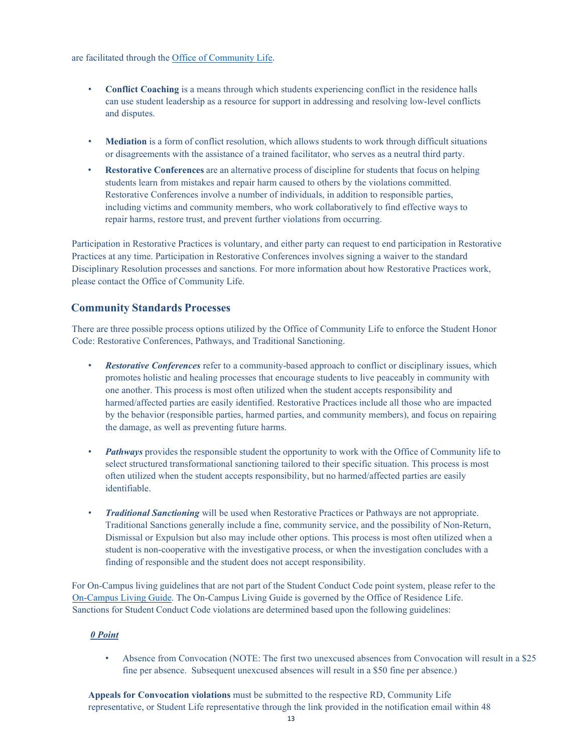are facilitated through the Office of [Community](https://www.liberty.edu/students/community-life/) Life.

- **Conflict Coaching** is a means through which students experiencing conflict in the residence halls can use student leadership as a resource for support in addressing and resolving low-level conflicts and disputes.
- **Mediation** is a form of conflict resolution, which allows students to work through difficult situations or disagreements with the assistance of a trained facilitator, who serves as a neutral third party.
- **Restorative Conferences** are an alternative process of discipline for students that focus on helping students learn from mistakes and repair harm caused to others by the violations committed. Restorative Conferences involve a number of individuals, in addition to responsible parties, including victims and community members, who work collaboratively to find effective ways to repair harms, restore trust, and prevent further violations from occurring.

Participation in Restorative Practices is voluntary, and either party can request to end participation in Restorative Practices at any time. Participation in Restorative Conferences involves signing a waiver to the standard Disciplinary Resolution processes and sanctions. For more information about how Restorative Practices work, please contact the Office of Community Life.

#### <span id="page-12-0"></span>**Community Standards Processes**

There are three possible process options utilized by the Office of Community Life to enforce the Student Honor Code: Restorative Conferences, Pathways, and Traditional Sanctioning.

- *Restorative Conferences* refer to a community-based approach to conflict or disciplinary issues, which promotes holistic and healing processes that encourage students to live peaceably in community with one another. This process is most often utilized when the student accepts responsibility and harmed/affected parties are easily identified. Restorative Practices include all those who are impacted by the behavior (responsible parties, harmed parties, and community members), and focus on repairing the damage, as well as preventing future harms.
- *Pathways* provides the responsible student the opportunity to work with the Office of Community life to select structured transformational sanctioning tailored to their specific situation. This process is most often utilized when the student accepts responsibility, but no harmed/affected parties are easily identifiable.
- *Traditional Sanctioning* will be used when Restorative Practices or Pathways are not appropriate. Traditional Sanctions generally include a fine, community service, and the possibility of Non-Return, Dismissal or Expulsion but also may include other options. This process is most often utilized when a student is non-cooperative with the investigative process, or when the investigation concludes with a finding of responsible and the student does not accept responsibility.

For On-Campus living guidelines that are not part of the Student Conduct Code point system, please refer to the [On-Campus Living](https://www.liberty.edu/residence-life/wp-content/uploads/sites/97/2021/08/On-Campus-Living-Guide.pdf) Guide. The On-Campus Living Guide is governed by the Office of Residence Life. Sanctions for Student Conduct Code violations are determined based upon the following guidelines:

#### *0 Point*

• Absence from Convocation (NOTE: The first two unexcused absences from Convocation will result in a \$25 fine per absence. Subsequent unexcused absences will result in a \$50 fine per absence.)

**Appeals for Convocation violations** must be submitted to the respective RD, Community Life representative, or Student Life representative through the link provided in the notification email within 48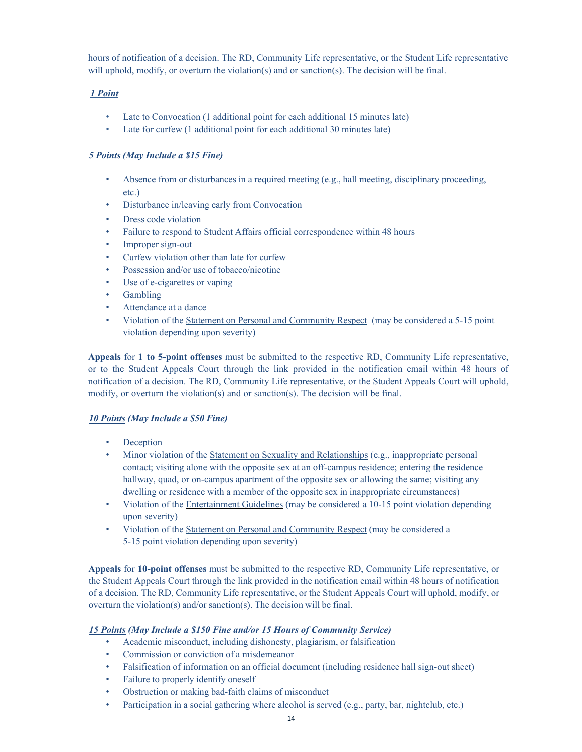hours of notification of a decision. The RD, Community Life representative, or the Student Life representative will uphold, modify, or overturn the violation(s) and or sanction(s). The decision will be final.

#### *1 Point*

- Late to Convocation (1 additional point for each additional 15 minutes late)
- Late for curfew (1 additional point for each additional 30 minutes late)

#### *5 Points (May Include a \$15 Fine)*

- Absence from or disturbances in a required meeting (e.g., hall meeting, disciplinary proceeding, etc.)
- Disturbance in/leaving early from Convocation
- Dress code violation
- Failure to respond to Student Affairs official correspondence within 48 hours
- Improper sign-out
- Curfew violation other than late for curfew
- Possession and/or use of tobacco/nicotine
- Use of e-cigarettes or vaping
- Gambling
- Attendance at a dance
- Violation of the Statement on Personal and Community Respect (may be considered a 5-15 point violation depending upon severity)

**Appeals** for **1 to 5-point offenses** must be submitted to the respective RD, Community Life representative, or to the Student Appeals Court through the link provided in the notification email within 48 hours of notification of a decision. The RD, Community Life representative, or the Student Appeals Court will uphold, modify, or overturn the violation(s) and or sanction(s). The decision will be final.

#### *10 Points (May Include a \$50 Fine)*

- **Deception**
- Minor violation of the Statement on Sexuality and Relationships (e.g., inappropriate personal contact; visiting alone with the opposite sex at an off-campus residence; entering the residence hallway, quad, or on-campus apartment of the opposite sex or allowing the same; visiting any dwelling or residence with a member of the opposite sex in inappropriate circumstances)
- Violation of the Entertainment Guidelines (may be considered a 10-15 point violation depending upon severity)
- Violation of the Statement on Personal and Community Respect (may be considered a 5-15 point violation depending upon severity)

**Appeals** for **10-point offenses** must be submitted to the respective RD, Community Life representative, or the Student Appeals Court through the link provided in the notification email within 48 hours of notification of a decision. The RD, Community Life representative, or the Student Appeals Court will uphold, modify, or overturn the violation(s) and/or sanction(s). The decision will be final.

#### *15 Points (May Include a \$150 Fine and/or 15 Hours of Community Service)*

- Academic misconduct, including dishonesty, plagiarism, or falsification
- Commission or conviction of a misdemeanor
- Falsification of information on an official document (including residence hall sign-out sheet)
- Failure to properly identify oneself
- Obstruction or making bad-faith claims of misconduct
- Participation in a social gathering where alcohol is served (e.g., party, bar, nightclub, etc.)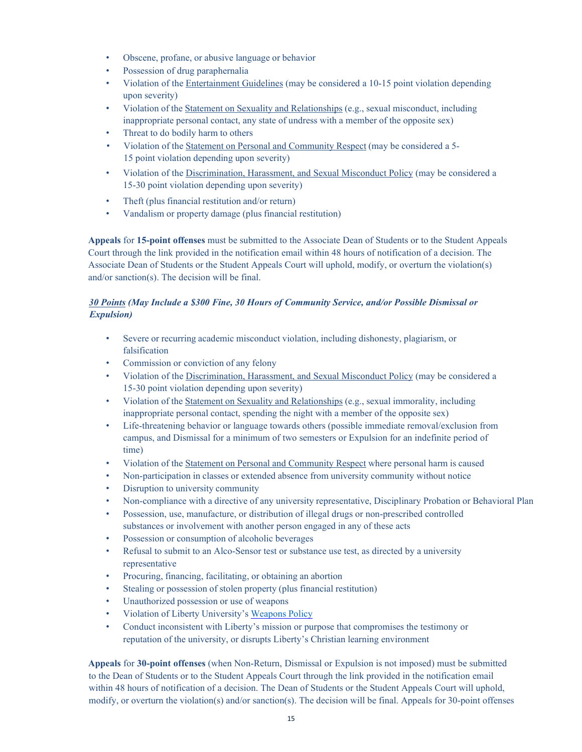- Obscene, profane, or abusive language or behavior
- Possession of drug paraphernalia
- Violation of the Entertainment Guidelines (may be considered a 10-15 point violation depending upon severity)
- Violation of the Statement on Sexuality and Relationships (e.g., sexual misconduct, including inappropriate personal contact, any state of undress with a member of the opposite sex)
- Threat to do bodily harm to others
- Violation of the Statement on Personal and Community Respect (may be considered a 5- 15 point violation depending upon severity)
- Violation of the Discrimination, Harassment, and Sexual Misconduct Policy (may be considered a 15-30 point violation depending upon severity)
- Theft (plus financial restitution and/or return)
- Vandalism or property damage (plus financial restitution)

**Appeals** for **15-point offenses** must be submitted to the Associate Dean of Students or to the Student Appeals Court through the link provided in the notification email within 48 hours of notification of a decision. The Associate Dean of Students or the Student Appeals Court will uphold, modify, or overturn the violation(s) and/or sanction(s). The decision will be final.

#### *30 Points (May Include a \$300 Fine, 30 Hours of Community Service, and/or Possible Dismissal or Expulsion)*

- Severe or recurring academic misconduct violation, including dishonesty, plagiarism, or falsification
- Commission or conviction of any felony
- Violation of the Discrimination, Harassment, and Sexual Misconduct Policy (may be considered a 15-30 point violation depending upon severity)
- Violation of the Statement on Sexuality and Relationships (e.g., sexual immorality, including inappropriate personal contact, spending the night with a member of the opposite sex)
- Life-threatening behavior or language towards others (possible immediate removal/exclusion from campus, and Dismissal for a minimum of two semesters or Expulsion for an indefinite period of time)
- Violation of the Statement on Personal and Community Respect where personal harm is caused
- Non-participation in classes or extended absence from university community without notice
- Disruption to university community
- Non-compliance with a directive of any university representative, Disciplinary Probation or Behavioral Plan
- Possession, use, manufacture, or distribution of illegal drugs or non-prescribed controlled substances or involvement with another person engaged in any of these acts
- Possession or consumption of alcoholic beverages
- Refusal to submit to an Alco-Sensor test or substance use test, as directed by a university representative
- Procuring, financing, facilitating, or obtaining an abortion
- Stealing or possession of stolen property (plus financial restitution)
- Unauthorized possession or use of weapons
- Violation of Liberty University's [Weapons](https://www.liberty.edu/police/wp-content/uploads/sites/100/2019/10/Weapons_Policy_Rules__Regs_8-22-16_adoped.pdf) Policy
- Conduct inconsistent with Liberty's mission or purpose that compromises the testimony or reputation of the university, or disrupts Liberty's Christian learning environment

**Appeals** for **30-point offenses** (when Non-Return, Dismissal or Expulsion is not imposed) must be submitted to the Dean of Students or to the Student Appeals Court through the link provided in the notification email within 48 hours of notification of a decision. The Dean of Students or the Student Appeals Court will uphold, modify, or overturn the violation(s) and/or sanction(s). The decision will be final. Appeals for 30-point offenses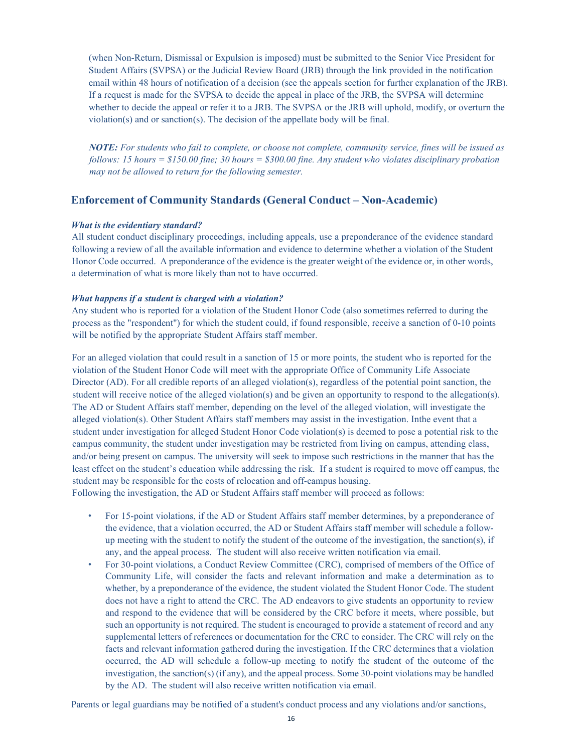(when Non-Return, Dismissal or Expulsion is imposed) must be submitted to the Senior Vice President for Student Affairs (SVPSA) or the Judicial Review Board (JRB) through the link provided in the notification email within 48 hours of notification of a decision (see the appeals section for further explanation of the JRB). If a request is made for the SVPSA to decide the appeal in place of the JRB, the SVPSA will determine whether to decide the appeal or refer it to a JRB. The SVPSA or the JRB will uphold, modify, or overturn the violation(s) and or sanction(s). The decision of the appellate body will be final.

*NOTE: For students who fail to complete, or choose not complete, community service, fines will be issued as follows: 15 hours = \$150.00 fine; 30 hours = \$300.00 fine. Any student who violates disciplinary probation may not be allowed to return for the following semester.*

#### <span id="page-15-0"></span>**Enforcement of Community Standards (General Conduct – Non-Academic)**

#### *What is the evidentiary standard?*

All student conduct disciplinary proceedings, including appeals, use a preponderance of the evidence standard following a review of all the available information and evidence to determine whether a violation of the Student Honor Code occurred. A preponderance of the evidence is the greater weight of the evidence or, in other words, a determination of what is more likely than not to have occurred.

#### *What happens if a student is charged with a violation?*

Any student who is reported for a violation of the Student Honor Code (also sometimes referred to during the process as the "respondent") for which the student could, if found responsible, receive a sanction of 0-10 points will be notified by the appropriate Student Affairs staff member.

For an alleged violation that could result in a sanction of 15 or more points, the student who is reported for the violation of the Student Honor Code will meet with the appropriate Office of Community Life Associate Director (AD). For all credible reports of an alleged violation(s), regardless of the potential point sanction, the student will receive notice of the alleged violation(s) and be given an opportunity to respond to the allegation(s). The AD or Student Affairs staff member, depending on the level of the alleged violation, will investigate the alleged violation(s). Other Student Affairs staff members may assist in the investigation. Inthe event that a student under investigation for alleged Student Honor Code violation(s) is deemed to pose a potential risk to the campus community, the student under investigation may be restricted from living on campus, attending class, and/or being present on campus. The university will seek to impose such restrictions in the manner that has the least effect on the student's education while addressing the risk. If a student is required to move off campus, the student may be responsible for the costs of relocation and off-campus housing.

Following the investigation, the AD or Student Affairs staff member will proceed as follows:

- For 15-point violations, if the AD or Student Affairs staff member determines, by a preponderance of the evidence, that a violation occurred, the AD or Student Affairs staff member will schedule a followup meeting with the student to notify the student of the outcome of the investigation, the sanction(s), if any, and the appeal process. The student will also receive written notification via email.
- For 30-point violations, a Conduct Review Committee (CRC), comprised of members of the Office of Community Life, will consider the facts and relevant information and make a determination as to whether, by a preponderance of the evidence, the student violated the Student Honor Code. The student does not have a right to attend the CRC. The AD endeavors to give students an opportunity to review and respond to the evidence that will be considered by the CRC before it meets, where possible, but such an opportunity is not required. The student is encouraged to provide a statement of record and any supplemental letters of references or documentation for the CRC to consider. The CRC will rely on the facts and relevant information gathered during the investigation. If the CRC determines that a violation occurred, the AD will schedule a follow-up meeting to notify the student of the outcome of the investigation, the sanction(s) (if any), and the appeal process. Some 30-point violations may be handled by the AD. The student will also receive written notification via email.

Parents or legal guardians may be notified of a student's conduct process and any violations and/or sanctions,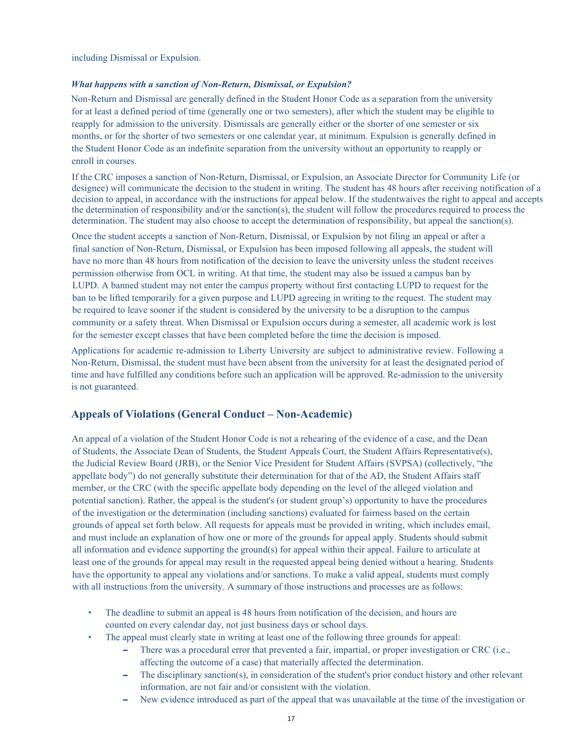including Dismissal or Expulsion.

#### *What happens with a sanction of Non-Return, Dismissal, or Expulsion?*

Non-Return and Dismissal are generally defined in the Student Honor Code as a separation from the university for at least a defined period of time (generally one or two semesters), after which the student may be eligible to reapply for admission to the university. Dismissals are generally either or the shorter of one semester or six months, or for the shorter of two semesters or one calendar year, at minimum. Expulsion is generally defined in the Student Honor Code as an indefinite separation from the university without an opportunity to reapply or enroll in courses.

If the CRC imposes a sanction of Non-Return, Dismissal, or Expulsion, an Associate Director for Community Life (or designee) will communicate the decision to the student in writing. The student has 48 hours after receiving notification of a decision to appeal, in accordance with the instructions for appeal below. If the studentwaives the right to appeal and accepts the determination of responsibility and/or the sanction(s), the student will follow the procedures required to process the determination. The student may also choose to accept the determination of responsibility, but appeal the sanction(s).

Once the student accepts a sanction of Non-Return, Dismissal, or Expulsion by not filing an appeal or after a final sanction of Non-Return, Dismissal, or Expulsion has been imposed following all appeals, the student will have no more than 48 hours from notification of the decision to leave the university unless the student receives permission otherwise from OCL in writing. At that time, the student may also be issued a campus ban by LUPD. A banned student may not enter the campus property without first contacting LUPD to request for the ban to be lifted temporarily for a given purpose and LUPD agreeing in writing to the request. The student may be required to leave sooner if the student is considered by the university to be a disruption to the campus community or a safety threat. When Dismissal or Expulsion occurs during a semester, all academic work is lost for the semester except classes that have been completed before the time the decision is imposed.

Applications for academic re-admission to Liberty University are subject to administrative review. Following a Non-Return, Dismissal, the student must have been absent from the university for at least the designated period of time and have fulfilled any conditions before such an application will be approved. Re-admission to the university is not guaranteed.

#### <span id="page-16-0"></span>**Appeals of Violations (General Conduct – Non-Academic)**

An appeal of a violation of the Student Honor Code is not a rehearing of the evidence of a case, and the Dean of Students, the Associate Dean of Students, the Student Appeals Court, the Student Affairs Representative(s), the Judicial Review Board (JRB), or the Senior Vice President for Student Affairs (SVPSA) (collectively, "the appellate body") do not generally substitute their determination for that of the AD, the Student Affairs staff member, or the CRC (with the specific appellate body depending on the level of the alleged violation and potential sanction). Rather, the appeal is the student's (or student group's) opportunity to have the procedures of the investigation or the determination (including sanctions) evaluated for fairness based on the certain grounds of appeal set forth below. All requests for appeals must be provided in writing, which includes email, and must include an explanation of how one or more of the grounds for appeal apply. Students should submit all information and evidence supporting the ground(s) for appeal within their appeal. Failure to articulate at least one of the grounds for appeal may result in the requested appeal being denied without a hearing. Students have the opportunity to appeal any violations and/or sanctions. To make a valid appeal, students must comply with all instructions from the university. A summary of those instructions and processes are as follows:

- The deadline to submit an appeal is 48 hours from notification of the decision, and hours are counted on every calendar day, not just business days or school days.
- The appeal must clearly state in writing at least one of the following three grounds for appeal:
	- **–** There was a procedural error that prevented a fair, impartial, or proper investigation or CRC (i.e., affecting the outcome of a case) that materially affected the determination.
	- **–** The disciplinary sanction(s), in consideration of the student's prior conduct history and other relevant information, are not fair and/or consistent with the violation.
	- **–** New evidence introduced as part of the appeal that was unavailable at the time of the investigation or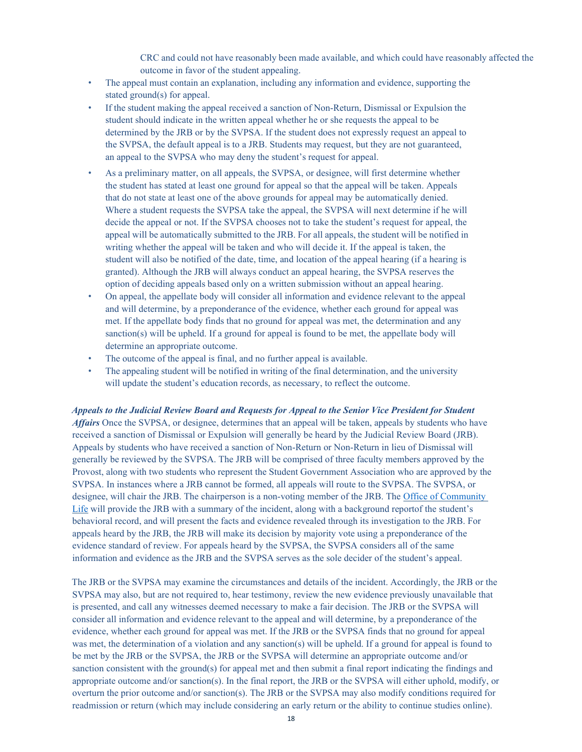CRC and could not have reasonably been made available, and which could have reasonably affected the outcome in favor of the student appealing.

- The appeal must contain an explanation, including any information and evidence, supporting the stated ground(s) for appeal.
- If the student making the appeal received a sanction of Non-Return, Dismissal or Expulsion the student should indicate in the written appeal whether he or she requests the appeal to be determined by the JRB or by the SVPSA. If the student does not expressly request an appeal to the SVPSA, the default appeal is to a JRB. Students may request, but they are not guaranteed, an appeal to the SVPSA who may deny the student's request for appeal.
- As a preliminary matter, on all appeals, the SVPSA, or designee, will first determine whether the student has stated at least one ground for appeal so that the appeal will be taken. Appeals that do not state at least one of the above grounds for appeal may be automatically denied. Where a student requests the SVPSA take the appeal, the SVPSA will next determine if he will decide the appeal or not. If the SVPSA chooses not to take the student's request for appeal, the appeal will be automatically submitted to the JRB. For all appeals, the student will be notified in writing whether the appeal will be taken and who will decide it. If the appeal is taken, the student will also be notified of the date, time, and location of the appeal hearing (if a hearing is granted). Although the JRB will always conduct an appeal hearing, the SVPSA reserves the option of deciding appeals based only on a written submission without an appeal hearing.
- On appeal, the appellate body will consider all information and evidence relevant to the appeal and will determine, by a preponderance of the evidence, whether each ground for appeal was met. If the appellate body finds that no ground for appeal was met, the determination and any sanction(s) will be upheld. If a ground for appeal is found to be met, the appellate body will determine an appropriate outcome.
- The outcome of the appeal is final, and no further appeal is available.
- The appealing student will be notified in writing of the final determination, and the university will update the student's education records, as necessary, to reflect the outcome.

*Appeals to the Judicial Review Board and Requests for Appeal to the Senior Vice President for Student Affairs* Once the SVPSA, or designee, determines that an appeal will be taken, appeals by students who have received a sanction of Dismissal or Expulsion will generally be heard by the Judicial Review Board (JRB). Appeals by students who have received a sanction of Non-Return or Non-Return in lieu of Dismissal will generally be reviewed by the SVPSA. The JRB will be comprised of three faculty members approved by the Provost, along with two students who represent the Student Government Association who are approved by the SVPSA. In instances where a JRB cannot be formed, all appeals will route to the SVPSA. The SVPSA, or designee, will chair the JRB. The chairperson is a non-voting member of the JRB. The Office of Community [Life](https://www.liberty.edu/students/community-life/) will provide the JRB with a summary of the incident, along with a background reportof the student's behavioral record, and will present the facts and evidence revealed through its investigation to the JRB. For appeals heard by the JRB, the JRB will make its decision by majority vote using a preponderance of the evidence standard of review. For appeals heard by the SVPSA, the SVPSA considers all of the same information and evidence as the JRB and the SVPSA serves as the sole decider of the student's appeal.

The JRB or the SVPSA may examine the circumstances and details of the incident. Accordingly, the JRB or the SVPSA may also, but are not required to, hear testimony, review the new evidence previously unavailable that is presented, and call any witnesses deemed necessary to make a fair decision. The JRB or the SVPSA will consider all information and evidence relevant to the appeal and will determine, by a preponderance of the evidence, whether each ground for appeal was met. If the JRB or the SVPSA finds that no ground for appeal was met, the determination of a violation and any sanction(s) will be upheld. If a ground for appeal is found to be met by the JRB or the SVPSA, the JRB or the SVPSA will determine an appropriate outcome and/or sanction consistent with the ground(s) for appeal met and then submit a final report indicating the findings and appropriate outcome and/or sanction(s). In the final report, the JRB or the SVPSA will either uphold, modify, or overturn the prior outcome and/or sanction(s). The JRB or the SVPSA may also modify conditions required for readmission or return (which may include considering an early return or the ability to continue studies online).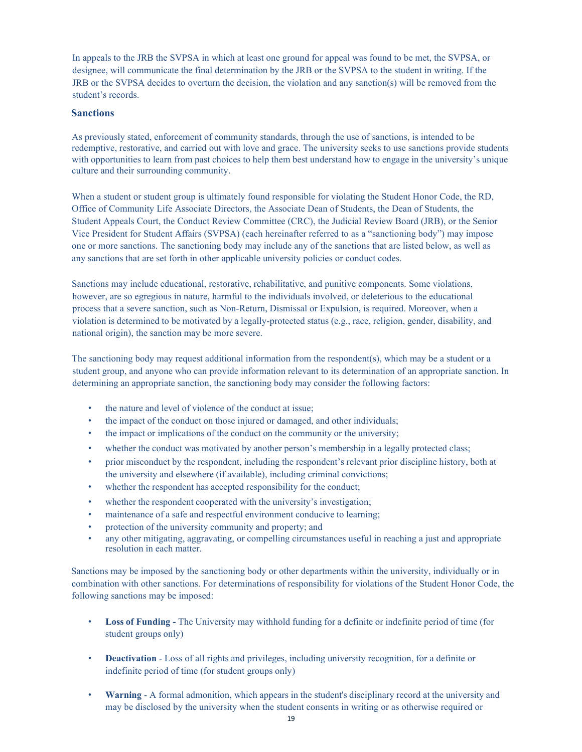In appeals to the JRB the SVPSA in which at least one ground for appeal was found to be met, the SVPSA, or designee, will communicate the final determination by the JRB or the SVPSA to the student in writing. If the JRB or the SVPSA decides to overturn the decision, the violation and any sanction(s) will be removed from the student's records.

#### <span id="page-18-0"></span>**Sanctions**

As previously stated, enforcement of community standards, through the use of sanctions, is intended to be redemptive, restorative, and carried out with love and grace. The university seeks to use sanctions provide students with opportunities to learn from past choices to help them best understand how to engage in the university's unique culture and their surrounding community.

When a student or student group is ultimately found responsible for violating the Student Honor Code, the RD, Office of Community Life Associate Directors, the Associate Dean of Students, the Dean of Students, the Student Appeals Court, the Conduct Review Committee (CRC), the Judicial Review Board (JRB), or the Senior Vice President for Student Affairs (SVPSA) (each hereinafter referred to as a "sanctioning body") may impose one or more sanctions. The sanctioning body may include any of the sanctions that are listed below, as well as any sanctions that are set forth in other applicable university policies or conduct codes.

Sanctions may include educational, restorative, rehabilitative, and punitive components. Some violations, however, are so egregious in nature, harmful to the individuals involved, or deleterious to the educational process that a severe sanction, such as Non-Return, Dismissal or Expulsion, is required. Moreover, when a violation is determined to be motivated by a legally-protected status (e.g., race, religion, gender, disability, and national origin), the sanction may be more severe.

The sanctioning body may request additional information from the respondent(s), which may be a student or a student group, and anyone who can provide information relevant to its determination of an appropriate sanction. In determining an appropriate sanction, the sanctioning body may consider the following factors:

- the nature and level of violence of the conduct at issue;
- the impact of the conduct on those injured or damaged, and other individuals;
- the impact or implications of the conduct on the community or the university;
- whether the conduct was motivated by another person's membership in a legally protected class;
- prior misconduct by the respondent, including the respondent's relevant prior discipline history, both at the university and elsewhere (if available), including criminal convictions;
- whether the respondent has accepted responsibility for the conduct;
- whether the respondent cooperated with the university's investigation;
- maintenance of a safe and respectful environment conducive to learning;
- protection of the university community and property; and
- any other mitigating, aggravating, or compelling circumstances useful in reaching a just and appropriate resolution in each matter.

Sanctions may be imposed by the sanctioning body or other departments within the university, individually or in combination with other sanctions. For determinations of responsibility for violations of the Student Honor Code, the following sanctions may be imposed:

- **Loss of Funding -** The University may withhold funding for a definite or indefinite period of time (for student groups only)
- **Deactivation**  Loss of all rights and privileges, including university recognition, for a definite or indefinite period of time (for student groups only)
- **Warning** A formal admonition, which appears in the student's disciplinary record at the university and may be disclosed by the university when the student consents in writing or as otherwise required or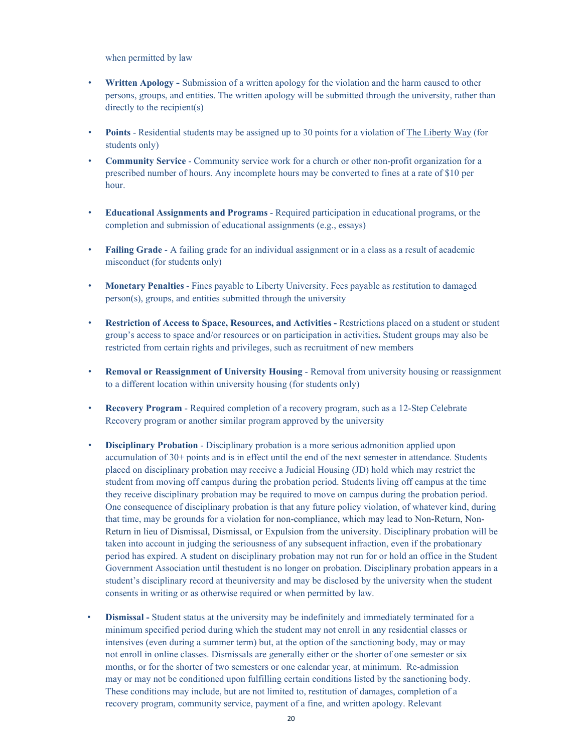when permitted by law

- **Written Apology -** Submission of a written apology for the violation and the harm caused to other persons, groups, and entities. The written apology will be submitted through the university, rather than directly to the recipient(s)
- **Points** Residential students may be assigned up to 30 points for a violation of The Liberty Way (for students only)
- **Community Service**  Community service work for a church or other non-profit organization for a prescribed number of hours. Any incomplete hours may be converted to fines at a rate of \$10 per hour.
- **Educational Assignments and Programs** Required participation in educational programs, or the completion and submission of educational assignments (e.g., essays)
- **Failing Grade** A failing grade for an individual assignment or in a class as a result of academic misconduct (for students only)
- **Monetary Penalties** Fines payable to Liberty University. Fees payable as restitution to damaged person(s), groups, and entities submitted through the university
- **Restriction of Access to Space, Resources, and Activities -** Restrictions placed on a student or student group's access to space and/or resources or on participation in activities**.** Student groups may also be restricted from certain rights and privileges, such as recruitment of new members
- **Removal or Reassignment of University Housing**  Removal from university housing or reassignment to a different location within university housing (for students only)
- **Recovery Program**  Required completion of a recovery program, such as a 12-Step Celebrate Recovery program or another similar program approved by the university
- **Disciplinary Probation**  Disciplinary probation is a more serious admonition applied upon accumulation of 30+ points and is in effect until the end of the next semester in attendance. Students placed on disciplinary probation may receive a Judicial Housing (JD) hold which may restrict the student from moving off campus during the probation period. Students living off campus at the time they receive disciplinary probation may be required to move on campus during the probation period. One consequence of disciplinary probation is that any future policy violation, of whatever kind, during that time, may be grounds for a violation for non-compliance, which may lead to Non-Return, Non-Return in lieu of Dismissal, Dismissal, or Expulsion from the university. Disciplinary probation will be taken into account in judging the seriousness of any subsequent infraction, even if the probationary period has expired. A student on disciplinary probation may not run for or hold an office in the Student Government Association until thestudent is no longer on probation. Disciplinary probation appears in a student's disciplinary record at theuniversity and may be disclosed by the university when the student consents in writing or as otherwise required or when permitted by law.
- **Dismissal -** Student status at the university may be indefinitely and immediately terminated for a minimum specified period during which the student may not enroll in any residential classes or intensives (even during a summer term) but, at the option of the sanctioning body, may or may not enroll in online classes. Dismissals are generally either or the shorter of one semester or six months, or for the shorter of two semesters or one calendar year, at minimum. Re-admission may or may not be conditioned upon fulfilling certain conditions listed by the sanctioning body. These conditions may include, but are not limited to, restitution of damages, completion of a recovery program, community service, payment of a fine, and written apology. Relevant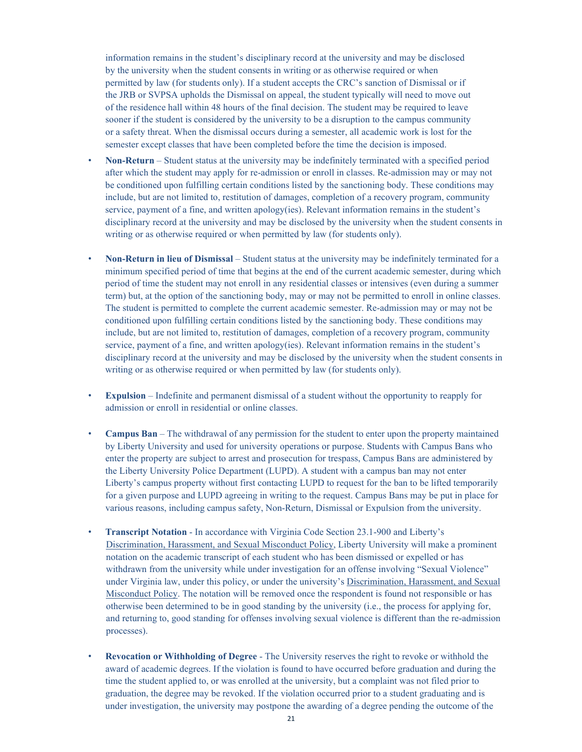information remains in the student's disciplinary record at the university and may be disclosed by the university when the student consents in writing or as otherwise required or when permitted by law (for students only). If a student accepts the CRC's sanction of Dismissal or if the JRB or SVPSA upholds the Dismissal on appeal, the student typically will need to move out of the residence hall within 48 hours of the final decision. The student may be required to leave sooner if the student is considered by the university to be a disruption to the campus community or a safety threat. When the dismissal occurs during a semester, all academic work is lost for the semester except classes that have been completed before the time the decision is imposed.

- **Non-Return**  Student status at the university may be indefinitely terminated with a specified period after which the student may apply for re-admission or enroll in classes. Re-admission may or may not be conditioned upon fulfilling certain conditions listed by the sanctioning body. These conditions may include, but are not limited to, restitution of damages, completion of a recovery program, community service, payment of a fine, and written apology(ies). Relevant information remains in the student's disciplinary record at the university and may be disclosed by the university when the student consents in writing or as otherwise required or when permitted by law (for students only).
- **Non-Return in lieu of Dismissal**  Student status at the university may be indefinitely terminated for a minimum specified period of time that begins at the end of the current academic semester, during which period of time the student may not enroll in any residential classes or intensives (even during a summer term) but, at the option of the sanctioning body, may or may not be permitted to enroll in online classes. The student is permitted to complete the current academic semester. Re-admission may or may not be conditioned upon fulfilling certain conditions listed by the sanctioning body. These conditions may include, but are not limited to, restitution of damages, completion of a recovery program, community service, payment of a fine, and written apology(ies). Relevant information remains in the student's disciplinary record at the university and may be disclosed by the university when the student consents in writing or as otherwise required or when permitted by law (for students only).
- **Expulsion**  Indefinite and permanent dismissal of a student without the opportunity to reapply for admission or enroll in residential or online classes.
- **Campus Ban** The withdrawal of any permission for the student to enter upon the property maintained by Liberty University and used for university operations or purpose. Students with Campus Bans who enter the property are subject to arrest and prosecution for trespass, Campus Bans are administered by the Liberty University Police Department (LUPD). A student with a campus ban may not enter Liberty's campus property without first contacting LUPD to request for the ban to be lifted temporarily for a given purpose and LUPD agreeing in writing to the request. Campus Bans may be put in place for various reasons, including campus safety, Non-Return, Dismissal or Expulsion from the university.
- **Transcript Notation**  In accordance with Virginia Code Section 23.1-900 and Liberty's Discrimination, Harassment, and Sexual Misconduct Policy, Liberty University will make a prominent notation on the academic transcript of each student who has been dismissed or expelled or has withdrawn from the university while under investigation for an offense involving "Sexual Violence" under Virginia law, under this policy, or under the university's Discrimination, Harassment, and Sexual Misconduct Policy. The notation will be removed once the respondent is found not responsible or has otherwise been determined to be in good standing by the university (i.e., the process for applying for, and returning to, good standing for offenses involving sexual violence is different than the re-admission processes).
- **Revocation or Withholding of Degree** The University reserves the right to revoke or withhold the award of academic degrees. If the violation is found to have occurred before graduation and during the time the student applied to, or was enrolled at the university, but a complaint was not filed prior to graduation, the degree may be revoked. If the violation occurred prior to a student graduating and is under investigation, the university may postpone the awarding of a degree pending the outcome of the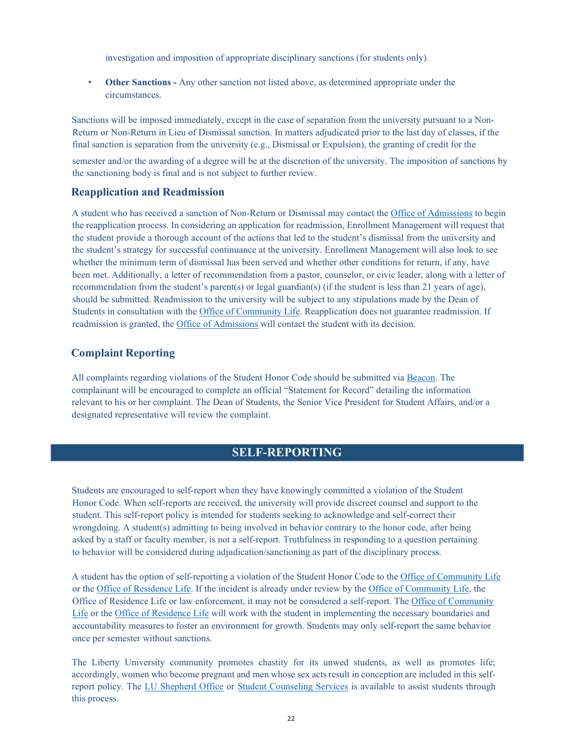investigation and imposition of appropriate disciplinary sanctions (for students only).

• **Other Sanctions -** Any other sanction not listed above, as determined appropriate under the circumstances.

Sanctions will be imposed immediately, except in the case of separation from the university pursuant to a Non-Return or Non-Return in Lieu of Dismissal sanction. In matters adjudicated prior to the last day of classes, if the final sanction is separation from the university (e.g., Dismissal or Expulsion), the granting of credit for the semester and/or the awarding of a degree will be at the discretion of the university. The imposition of sanctions by the sanctioning body is final and is not subject to further review.

#### <span id="page-21-0"></span>**Reapplication and Readmission**

A student who has received a sanction of Non-Return or Dismissal may contact the [Office of Admissions](https://www.liberty.edu/admissions/) to begin the reapplication process. In considering an application for readmission, Enrollment Management will request that the student provide a thorough account of the actions that led to the student's dismissal from the university and the student's strategy for successful continuance at the university. Enrollment Management will also look to see whether the minimum term of dismissal has been served and whether other conditions for return, if any, have been met. Additionally, a letter of recommendation from a pastor, counselor, or civic leader, along with a letter of recommendation from the student's parent(s) or legal guardian(s) (if the student is less than 21 years of age), should be submitted. Readmission to the university will be subject to any stipulations made by the Dean of Students in consultation with th[e Office of Community Life. R](https://www.liberty.edu/students/community-life/)eapplication does not guarantee readmission. If readmission is granted, the Office [of Admissions](https://www.liberty.edu/admissions/) will contact the student with its decision.

#### <span id="page-21-1"></span>**Complaint Reporting**

All complaints regarding violations of the Student Honor Code should be submitted via [Beacon. T](https://www.liberty.edu/beacon/)he complainant will be encouraged to complete an official "Statement for Record" detailing the information relevant to his or her complaint. The Dean of Students, the Senior Vice President for Student Affairs, and/or a designated representative will review the complaint.

# **SELF-REPORTING**

<span id="page-21-2"></span>Students are encouraged to self-report when they have knowingly committed a violation of the Student Honor Code. When self-reports are received, the university will provide discreet counsel and support to the student. This self-report policy is intended for students seeking to acknowledge and self-correct their wrongdoing. A student(s) admitting to being involved in behavior contrary to the honor code, after being asked by a staff or faculty member, is not a self-report. Truthfulness in responding to a question pertaining to behavior will be considered during adjudication/sanctioning as part of the disciplinary process.

A student has the option of self-reporting a violation of the Student Honor Code to the Office of [Community](https://www.liberty.edu/students/community-life/) Life or th[e Office of Residence Life.](https://www.liberty.edu/residence-life) If the incident is already under review by th[e Office of Community Life, t](https://www.liberty.edu/students/community-life/)he Office of Residence Life or law enforcement, it may not be considered a self-report. The [Office of Community](https://www.liberty.edu/students/community-life/) [Life](https://www.liberty.edu/students/community-life/) or the [Office of Residence Life](https://www.liberty.edu/residence-life) will work with the student in implementing the necessary boundaries and accountability measures to foster an environment for growth. Students may only self-report the same behavior once per semester without sanctions.

The Liberty University community promotes chastity for its unwed students, as well as promotes life; accordingly, women who become pregnant and men whose sex acts result in conception are included in this selfreport policy. The [LU Shepherd Office](http://www.liberty.edu/osd/lushepherd/) or [Student Counseling Services](https://www.liberty.edu/students/student-counseling/) is available to assist students through this process.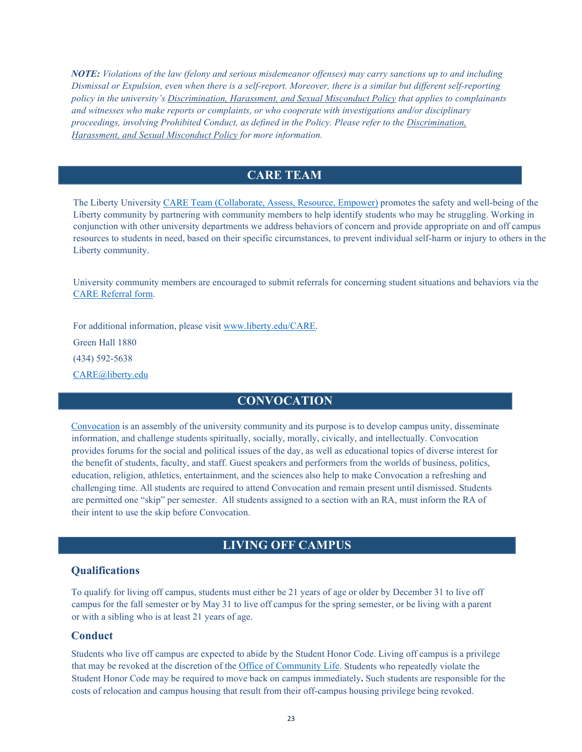*NOTE: Violations of the law (felony and serious misdemeanor offenses) may carry sanctions up to and including Dismissal or Expulsion, even when there is a self-report. Moreover, there is a similar but different self-reporting policy in the university's Discrimination, Harassment, and Sexual Misconduct Policy that applies to complainants and witnesses who make reports or complaints, or who cooperate with investigations and/or disciplinary proceedings, involving Prohibited Conduct, as defined in the Policy. Please refer to the Discrimination, Harassment, and Sexual Misconduct Policy for more information.*

# **CARE TEAM**

The Liberty University [CARE Team \(Collaborate, Assess, Resource, Empower\)](https://www.liberty.edu/students/community-life/care-team/) promotes the safety and well-being of the Liberty community by partnering with community members to help identify students who may be struggling. Working in conjunction with other university departments we address behaviors of concern and provide appropriate on and off campus resources to students in need, based on their specific circumstances, to prevent individual self-harm or injury to others in the Liberty community.

University community members are encouraged to submit referrals for concerning student situations and behaviors via the [CARE Referral form.](https://www.liberty.edu/beacon/#/new/care-referral)

For additional information, please visit [www.liberty.edu/CARE.](https://www.liberty.edu/care)

Green Hall 1880

(434) 592-5638

<span id="page-22-0"></span>[CARE@liberty.edu](mailto:CARE@liberty.edu)

# **CONVOCATION**

[Convocation](https://www.liberty.edu/osd/lu-stages/convocation/) is an assembly of the university community and its purpose is to develop campus unity, disseminate information, and challenge students spiritually, socially, morally, civically, and intellectually. Convocation provides forums for the social and political issues of the day, as well as educational topics of diverse interest for the benefit of students, faculty, and staff. Guest speakers and performers from the worlds of business, politics, education, religion, athletics, entertainment, and the sciences also help to make Convocation a refreshing and challenging time. All students are required to attend Convocation and remain present until dismissed. Students are permitted one "skip" per semester. All students assigned to a section with an RA, must inform the RA of their intent to use the skip before Convocation.

# **LIVING OFF CAMPUS**

#### <span id="page-22-2"></span><span id="page-22-1"></span>**Qualifications**

To qualify for living off campus, students must either be 21 years of age or older by December 31 to live off campus for the fall semester or by May 31 to live off campus for the spring semester, or be living with a parent or with a sibling who is at least 21 years of age.

#### <span id="page-22-3"></span>**Conduct**

Students who live off campus are expected to abide by the Student Honor Code. Living off campus is a privilege that may be revoked at the discretion of the [Office of Community Life. S](https://www.liberty.edu/students/community-life/)tudents who repeatedly violate the Student Honor Code may be required to move back on campus immediately**.** Such students are responsible for the costs of relocation and campus housing that result from their off-campus housing privilege being revoked.